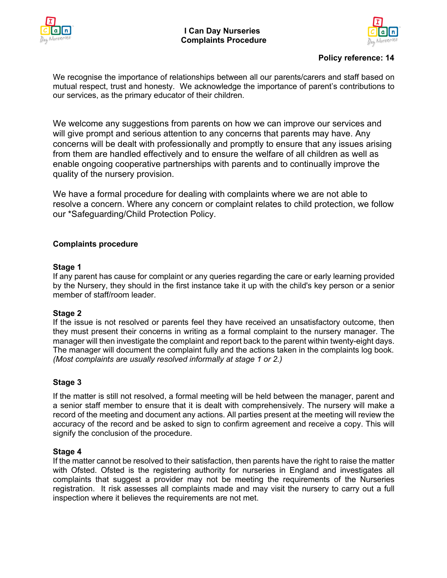



# **Policy reference: 14**

We recognise the importance of relationships between all our parents/carers and staff based on mutual respect, trust and honesty. We acknowledge the importance of parent's contributions to our services, as the primary educator of their children.

We welcome any suggestions from parents on how we can improve our services and will give prompt and serious attention to any concerns that parents may have. Any concerns will be dealt with professionally and promptly to ensure that any issues arising from them are handled effectively and to ensure the welfare of all children as well as enable ongoing cooperative partnerships with parents and to continually improve the quality of the nursery provision.

We have a formal procedure for dealing with complaints where we are not able to resolve a concern. Where any concern or complaint relates to child protection, we follow our \*Safeguarding/Child Protection Policy.

## **Complaints procedure**

#### **Stage 1**

If any parent has cause for complaint or any queries regarding the care or early learning provided by the Nursery, they should in the first instance take it up with the child's key person or a senior member of staff/room leader.

## **Stage 2**

If the issue is not resolved or parents feel they have received an unsatisfactory outcome, then they must present their concerns in writing as a formal complaint to the nursery manager. The manager will then investigate the complaint and report back to the parent within twenty-eight days. The manager will document the complaint fully and the actions taken in the complaints log book. *(Most complaints are usually resolved informally at stage 1 or 2.)*

## **Stage 3**

If the matter is still not resolved, a formal meeting will be held between the manager, parent and a senior staff member to ensure that it is dealt with comprehensively. The nursery will make a record of the meeting and document any actions. All parties present at the meeting will review the accuracy of the record and be asked to sign to confirm agreement and receive a copy. This will signify the conclusion of the procedure.

## **Stage 4**

If the matter cannot be resolved to their satisfaction, then parents have the right to raise the matter with Ofsted. Ofsted is the registering authority for nurseries in England and investigates all complaints that suggest a provider may not be meeting the requirements of the Nurseries registration. It risk assesses all complaints made and may visit the nursery to carry out a full inspection where it believes the requirements are not met.